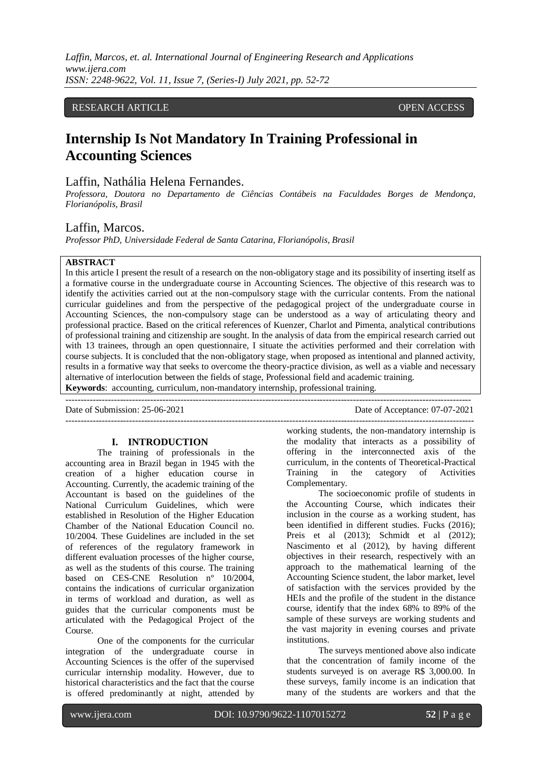### RESEARCH ARTICLE **CONTRACT ARTICLE** AND A SERVICE OPEN ACCESS OPEN ACCESS

# **Internship Is Not Mandatory In Training Professional in Accounting Sciences**

# Laffin, Nathália Helena Fernandes.

*Professora, Doutora no Departamento de Ciências Contábeis na Faculdades Borges de Mendonça, Florianópolis, Brasil*

#### Laffin, Marcos.

*Professor PhD, Universidade Federal de Santa Catarina, Florianópolis, Brasil*

#### **ABSTRACT**

In this article I present the result of a research on the non-obligatory stage and its possibility of inserting itself as a formative course in the undergraduate course in Accounting Sciences. The objective of this research was to identify the activities carried out at the non-compulsory stage with the curricular contents. From the national curricular guidelines and from the perspective of the pedagogical project of the undergraduate course in Accounting Sciences, the non-compulsory stage can be understood as a way of articulating theory and professional practice. Based on the critical references of Kuenzer, Charlot and Pimenta, analytical contributions of professional training and citizenship are sought. In the analysis of data from the empirical research carried out with 13 trainees, through an open questionnaire, I situate the activities performed and their correlation with course subjects. It is concluded that the non-obligatory stage, when proposed as intentional and planned activity, results in a formative way that seeks to overcome the theory-practice division, as well as a viable and necessary alternative of interlocution between the fields of stage, Professional field and academic training. **Keywords**: accounting, curriculum, non-mandatory internship, professional training.

--------------------------------------------------------------------------------------------------------------------------------------

Date of Submission: 25-06-2021 Date of Acceptance: 07-07-2021 ---------------------------------------------------------------------------------------------------------------------------------------

# **I. INTRODUCTION**

The training of professionals in the accounting area in Brazil began in 1945 with the creation of a higher education course in Accounting. Currently, the academic training of the Accountant is based on the guidelines of the National Curriculum Guidelines, which were established in Resolution of the Higher Education Chamber of the National Education Council no. 10/2004. These Guidelines are included in the set of references of the regulatory framework in different evaluation processes of the higher course, as well as the students of this course. The training based on CES-CNE Resolution nº 10/2004, contains the indications of curricular organization in terms of workload and duration, as well as guides that the curricular components must be articulated with the Pedagogical Project of the Course.

One of the components for the curricular integration of the undergraduate course in Accounting Sciences is the offer of the supervised curricular internship modality. However, due to historical characteristics and the fact that the course is offered predominantly at night, attended by

working students, the non-mandatory internship is the modality that interacts as a possibility of offering in the interconnected axis of the curriculum, in the contents of Theoretical-Practical Training in the category of Activities Complementary.

The socioeconomic profile of students in the Accounting Course, which indicates their inclusion in the course as a working student, has been identified in different studies. Fucks (2016); Preis et al (2013); Schmidt et al (2012); Nascimento et al (2012), by having different objectives in their research, respectively with an approach to the mathematical learning of the Accounting Science student, the labor market, level of satisfaction with the services provided by the HEIs and the profile of the student in the distance course, identify that the index 68% to 89% of the sample of these surveys are working students and the vast majority in evening courses and private institutions.

The surveys mentioned above also indicate that the concentration of family income of the students surveyed is on average R\$ 3,000.00. In these surveys, family income is an indication that many of the students are workers and that the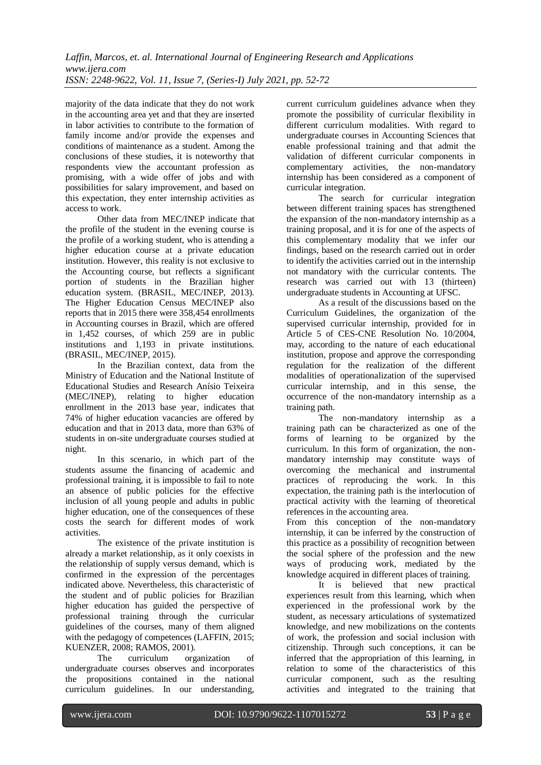majority of the data indicate that they do not work in the accounting area yet and that they are inserted in labor activities to contribute to the formation of family income and/or provide the expenses and conditions of maintenance as a student. Among the conclusions of these studies, it is noteworthy that respondents view the accountant profession as promising, with a wide offer of jobs and with possibilities for salary improvement, and based on this expectation, they enter internship activities as access to work.

Other data from MEC/INEP indicate that the profile of the student in the evening course is the profile of a working student, who is attending a higher education course at a private education institution. However, this reality is not exclusive to the Accounting course, but reflects a significant portion of students in the Brazilian higher education system. (BRASIL, MEC/INEP, 2013). The Higher Education Census MEC/INEP also reports that in 2015 there were 358,454 enrollments in Accounting courses in Brazil, which are offered in 1,452 courses, of which 259 are in public institutions and 1,193 in private institutions. (BRASIL, MEC/INEP, 2015).

In the Brazilian context, data from the Ministry of Education and the National Institute of Educational Studies and Research Anísio Teixeira (MEC/INEP), relating to higher education enrollment in the 2013 base year, indicates that 74% of higher education vacancies are offered by education and that in 2013 data, more than 63% of students in on-site undergraduate courses studied at night.

In this scenario, in which part of the students assume the financing of academic and professional training, it is impossible to fail to note an absence of public policies for the effective inclusion of all young people and adults in public higher education, one of the consequences of these costs the search for different modes of work activities.

The existence of the private institution is already a market relationship, as it only coexists in the relationship of supply versus demand, which is confirmed in the expression of the percentages indicated above. Nevertheless, this characteristic of the student and of public policies for Brazilian higher education has guided the perspective of professional training through the curricular guidelines of the courses, many of them aligned with the pedagogy of competences (LAFFIN, 2015; KUENZER, 2008; RAMOS, 2001).

The curriculum organization of undergraduate courses observes and incorporates the propositions contained in the national curriculum guidelines. In our understanding,

current curriculum guidelines advance when they promote the possibility of curricular flexibility in different curriculum modalities. With regard to undergraduate courses in Accounting Sciences that enable professional training and that admit the validation of different curricular components in complementary activities, the non-mandatory internship has been considered as a component of curricular integration.

The search for curricular integration between different training spaces has strengthened the expansion of the non-mandatory internship as a training proposal, and it is for one of the aspects of this complementary modality that we infer our findings, based on the research carried out in order to identify the activities carried out in the internship not mandatory with the curricular contents. The research was carried out with 13 (thirteen) undergraduate students in Accounting at UFSC.

As a result of the discussions based on the Curriculum Guidelines, the organization of the supervised curricular internship, provided for in Article 5 of CES-CNE Resolution No. 10/2004, may, according to the nature of each educational institution, propose and approve the corresponding regulation for the realization of the different modalities of operationalization of the supervised curricular internship, and in this sense, the occurrence of the non-mandatory internship as a training path.

The non-mandatory internship as a training path can be characterized as one of the forms of learning to be organized by the curriculum. In this form of organization, the nonmandatory internship may constitute ways of overcoming the mechanical and instrumental practices of reproducing the work. In this expectation, the training path is the interlocution of practical activity with the learning of theoretical references in the accounting area.

From this conception of the non-mandatory internship, it can be inferred by the construction of this practice as a possibility of recognition between the social sphere of the profession and the new ways of producing work, mediated by the knowledge acquired in different places of training.

It is believed that new practical experiences result from this learning, which when experienced in the professional work by the student, as necessary articulations of systematized knowledge, and new mobilizations on the contents of work, the profession and social inclusion with citizenship. Through such conceptions, it can be inferred that the appropriation of this learning, in relation to some of the characteristics of this curricular component, such as the resulting activities and integrated to the training that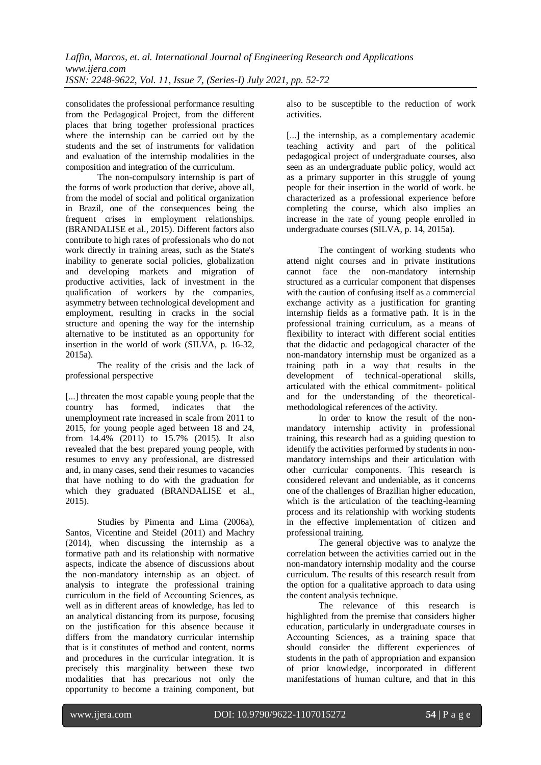consolidates the professional performance resulting from the Pedagogical Project, from the different places that bring together professional practices where the internship can be carried out by the students and the set of instruments for validation and evaluation of the internship modalities in the composition and integration of the curriculum.

The non-compulsory internship is part of the forms of work production that derive, above all, from the model of social and political organization in Brazil, one of the consequences being the frequent crises in employment relationships. (BRANDALISE et al., 2015). Different factors also contribute to high rates of professionals who do not work directly in training areas, such as the State's inability to generate social policies, globalization and developing markets and migration of productive activities, lack of investment in the qualification of workers by the companies, asymmetry between technological development and employment, resulting in cracks in the social structure and opening the way for the internship alternative to be instituted as an opportunity for insertion in the world of work (SILVA, p. 16-32, 2015a).

The reality of the crisis and the lack of professional perspective

[...] threaten the most capable young people that the country has formed, indicates that the unemployment rate increased in scale from 2011 to 2015, for young people aged between 18 and 24, from 14.4% (2011) to 15.7% (2015). It also revealed that the best prepared young people, with resumes to envy any professional, are distressed and, in many cases, send their resumes to vacancies that have nothing to do with the graduation for which they graduated (BRANDALISE et al., 2015).

Studies by Pimenta and Lima (2006a), Santos, Vicentine and Steidel (2011) and Machry (2014), when discussing the internship as a formative path and its relationship with normative aspects, indicate the absence of discussions about the non-mandatory internship as an object. of analysis to integrate the professional training curriculum in the field of Accounting Sciences, as well as in different areas of knowledge, has led to an analytical distancing from its purpose, focusing on the justification for this absence because it differs from the mandatory curricular internship that is it constitutes of method and content, norms and procedures in the curricular integration. It is precisely this marginality between these two modalities that has precarious not only the opportunity to become a training component, but

also to be susceptible to the reduction of work activities.

[...] the internship, as a complementary academic teaching activity and part of the political pedagogical project of undergraduate courses, also seen as an undergraduate public policy, would act as a primary supporter in this struggle of young people for their insertion in the world of work. be characterized as a professional experience before completing the course, which also implies an increase in the rate of young people enrolled in undergraduate courses (SILVA, p. 14, 2015a).

The contingent of working students who attend night courses and in private institutions<br>cannot face the non-mandatory internship cannot face the non-mandatory structured as a curricular component that dispenses with the caution of confusing itself as a commercial exchange activity as a justification for granting internship fields as a formative path. It is in the professional training curriculum, as a means of flexibility to interact with different social entities that the didactic and pedagogical character of the non-mandatory internship must be organized as a training path in a way that results in the development of technical-operational skills, articulated with the ethical commitment- political and for the understanding of the theoreticalmethodological references of the activity.

In order to know the result of the nonmandatory internship activity in professional training, this research had as a guiding question to identify the activities performed by students in nonmandatory internships and their articulation with other curricular components. This research is considered relevant and undeniable, as it concerns one of the challenges of Brazilian higher education, which is the articulation of the teaching-learning process and its relationship with working students in the effective implementation of citizen and professional training.

The general objective was to analyze the correlation between the activities carried out in the non-mandatory internship modality and the course curriculum. The results of this research result from the option for a qualitative approach to data using the content analysis technique.

The relevance of this research is highlighted from the premise that considers higher education, particularly in undergraduate courses in Accounting Sciences, as a training space that should consider the different experiences of students in the path of appropriation and expansion of prior knowledge, incorporated in different manifestations of human culture, and that in this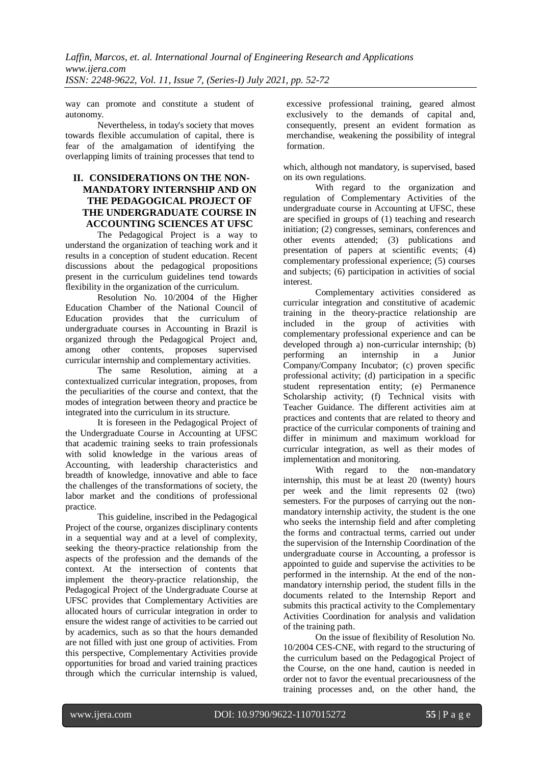way can promote and constitute a student of autonomy.

Nevertheless, in today's society that moves towards flexible accumulation of capital, there is fear of the amalgamation of identifying the overlapping limits of training processes that tend to

# **II. CONSIDERATIONS ON THE NON-MANDATORY INTERNSHIP AND ON THE PEDAGOGICAL PROJECT OF THE UNDERGRADUATE COURSE IN ACCOUNTING SCIENCES AT UFSC**

The Pedagogical Project is a way to understand the organization of teaching work and it results in a conception of student education. Recent discussions about the pedagogical propositions present in the curriculum guidelines tend towards flexibility in the organization of the curriculum.

Resolution No. 10/2004 of the Higher Education Chamber of the National Council of Education provides that the curriculum of undergraduate courses in Accounting in Brazil is organized through the Pedagogical Project and, among other contents, proposes supervised curricular internship and complementary activities.

The same Resolution, aiming at a contextualized curricular integration, proposes, from the peculiarities of the course and context, that the modes of integration between theory and practice be integrated into the curriculum in its structure.

It is foreseen in the Pedagogical Project of the Undergraduate Course in Accounting at UFSC that academic training seeks to train professionals with solid knowledge in the various areas of Accounting, with leadership characteristics and breadth of knowledge, innovative and able to face the challenges of the transformations of society, the labor market and the conditions of professional practice.

This guideline, inscribed in the Pedagogical Project of the course, organizes disciplinary contents in a sequential way and at a level of complexity, seeking the theory-practice relationship from the aspects of the profession and the demands of the context. At the intersection of contents that implement the theory-practice relationship, the Pedagogical Project of the Undergraduate Course at UFSC provides that Complementary Activities are allocated hours of curricular integration in order to ensure the widest range of activities to be carried out by academics, such as so that the hours demanded are not filled with just one group of activities. From this perspective, Complementary Activities provide opportunities for broad and varied training practices through which the curricular internship is valued,

excessive professional training, geared almost exclusively to the demands of capital and, consequently, present an evident formation as merchandise, weakening the possibility of integral formation.

which, although not mandatory, is supervised, based on its own regulations.

With regard to the organization and regulation of Complementary Activities of the undergraduate course in Accounting at UFSC, these are specified in groups of (1) teaching and research initiation; (2) congresses, seminars, conferences and other events attended; (3) publications and presentation of papers at scientific events; (4) complementary professional experience; (5) courses and subjects; (6) participation in activities of social interest.

Complementary activities considered as curricular integration and constitutive of academic training in the theory-practice relationship are included in the group of activities with complementary professional experience and can be developed through a) non-curricular internship; (b) performing an internship in a Junior Company/Company Incubator; (c) proven specific professional activity; (d) participation in a specific student representation entity; (e) Permanence Scholarship activity; (f) Technical visits with Teacher Guidance. The different activities aim at practices and contents that are related to theory and practice of the curricular components of training and differ in minimum and maximum workload for curricular integration, as well as their modes of implementation and monitoring.

With regard to the non-mandatory internship, this must be at least 20 (twenty) hours per week and the limit represents 02 (two) semesters. For the purposes of carrying out the nonmandatory internship activity, the student is the one who seeks the internship field and after completing the forms and contractual terms, carried out under the supervision of the Internship Coordination of the undergraduate course in Accounting, a professor is appointed to guide and supervise the activities to be performed in the internship. At the end of the nonmandatory internship period, the student fills in the documents related to the Internship Report and submits this practical activity to the Complementary Activities Coordination for analysis and validation of the training path.

On the issue of flexibility of Resolution No. 10/2004 CES-CNE, with regard to the structuring of the curriculum based on the Pedagogical Project of the Course, on the one hand, caution is needed in order not to favor the eventual precariousness of the training processes and, on the other hand, the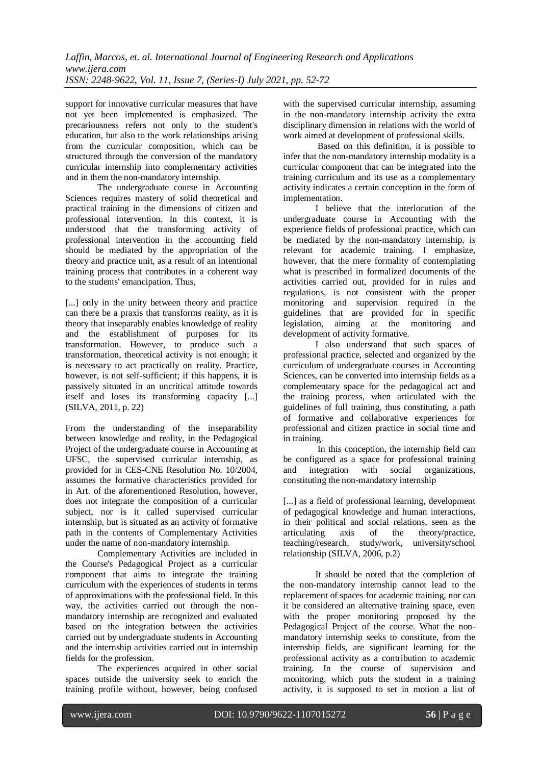support for innovative curricular measures that have not yet been implemented is emphasized. The precariousness refers not only to the student's education, but also to the work relationships arising from the curricular composition, which can be structured through the conversion of the mandatory curricular internship into complementary activities and in them the non-mandatory internship.

The undergraduate course in Accounting Sciences requires mastery of solid theoretical and practical training in the dimensions of citizen and professional intervention. In this context, it is understood that the transforming activity of professional intervention in the accounting field should be mediated by the appropriation of the theory and practice unit, as a result of an intentional training process that contributes in a coherent way to the students' emancipation. Thus,

[...] only in the unity between theory and practice can there be a praxis that transforms reality, as it is theory that inseparably enables knowledge of reality and the establishment of purposes for its transformation. However, to produce such a transformation, theoretical activity is not enough; it is necessary to act practically on reality. Practice, however, is not self-sufficient; if this happens, it is passively situated in an uncritical attitude towards itself and loses its transforming capacity [...] (SILVA, 2011, p. 22)

From the understanding of the inseparability between knowledge and reality, in the Pedagogical Project of the undergraduate course in Accounting at UFSC, the supervised curricular internship, as provided for in CES-CNE Resolution No. 10/2004, assumes the formative characteristics provided for in Art. of the aforementioned Resolution, however, does not integrate the composition of a curricular subject, nor is it called supervised curricular internship, but is situated as an activity of formative path in the contents of Complementary Activities under the name of non-mandatory internship.

Complementary Activities are included in the Course's Pedagogical Project as a curricular component that aims to integrate the training curriculum with the experiences of students in terms of approximations with the professional field. In this way, the activities carried out through the nonmandatory internship are recognized and evaluated based on the integration between the activities carried out by undergraduate students in Accounting and the internship activities carried out in internship fields for the profession.

The experiences acquired in other social spaces outside the university seek to enrich the training profile without, however, being confused with the supervised curricular internship, assuming in the non-mandatory internship activity the extra disciplinary dimension in relations with the world of work aimed at development of professional skills.

Based on this definition, it is possible to infer that the non-mandatory internship modality is a curricular component that can be integrated into the training curriculum and its use as a complementary activity indicates a certain conception in the form of implementation.

I believe that the interlocution of the undergraduate course in Accounting with the experience fields of professional practice, which can be mediated by the non-mandatory internship, is relevant for academic training. I emphasize, however, that the mere formality of contemplating what is prescribed in formalized documents of the activities carried out, provided for in rules and regulations, is not consistent with the proper monitoring and supervision required in the guidelines that are provided for in specific legislation, aiming at the monitoring and development of activity formative.

I also understand that such spaces of professional practice, selected and organized by the curriculum of undergraduate courses in Accounting Sciences, can be converted into internship fields as a complementary space for the pedagogical act and the training process, when articulated with the guidelines of full training, thus constituting, a path of formative and collaborative experiences for professional and citizen practice in social time and in training.

In this conception, the internship field can be configured as a space for professional training<br>and integration with social organizations. and integration with social organizations, constituting the non-mandatory internship

[...] as a field of professional learning, development of pedagogical knowledge and human interactions, in their political and social relations, seen as the articulating axis of the theory/practice, teaching/research, study/work, university/school relationship (SILVA, 2006, p.2)

It should be noted that the completion of the non-mandatory internship cannot lead to the replacement of spaces for academic training, nor can it be considered an alternative training space, even with the proper monitoring proposed by the Pedagogical Project of the course. What the nonmandatory internship seeks to constitute, from the internship fields, are significant learning for the professional activity as a contribution to academic training. In the course of supervision and monitoring, which puts the student in a training activity, it is supposed to set in motion a list of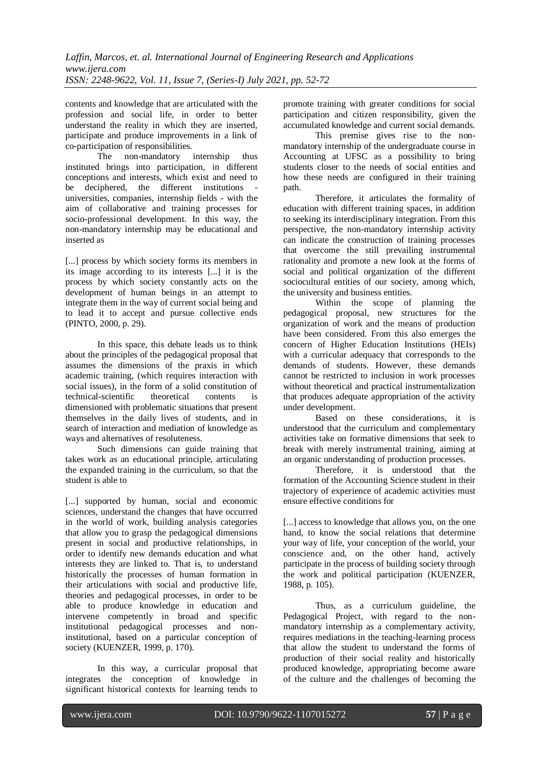contents and knowledge that are articulated with the profession and social life, in order to better understand the reality in which they are inserted, participate and produce improvements in a link of co-participation of responsibilities.

The non-mandatory internship thus instituted brings into participation, in different conceptions and interests, which exist and need to be deciphered, the different institutions universities, companies, internship fields - with the aim of collaborative and training processes for socio-professional development. In this way, the non-mandatory internship may be educational and inserted as

[...] process by which society forms its members in its image according to its interests [...] it is the process by which society constantly acts on the development of human beings in an attempt to integrate them in the way of current social being and to lead it to accept and pursue collective ends (PINTO, 2000, p. 29).

In this space, this debate leads us to think about the principles of the pedagogical proposal that assumes the dimensions of the praxis in which academic training, (which requires interaction with social issues), in the form of a solid constitution of technical-scientific theoretical contents is dimensioned with problematic situations that present themselves in the daily lives of students, and in search of interaction and mediation of knowledge as ways and alternatives of resoluteness.

Such dimensions can guide training that takes work as an educational principle, articulating the expanded training in the curriculum, so that the student is able to

[...] supported by human, social and economic sciences, understand the changes that have occurred in the world of work, building analysis categories that allow you to grasp the pedagogical dimensions present in social and productive relationships, in order to identify new demands education and what interests they are linked to. That is, to understand historically the processes of human formation in their articulations with social and productive life, theories and pedagogical processes, in order to be able to produce knowledge in education and intervene competently in broad and specific institutional pedagogical processes and noninstitutional, based on a particular conception of society (KUENZER, 1999, p. 170).

In this way, a curricular proposal that integrates the conception of knowledge in significant historical contexts for learning tends to promote training with greater conditions for social participation and citizen responsibility, given the accumulated knowledge and current social demands.

This premise gives rise to the nonmandatory internship of the undergraduate course in Accounting at UFSC as a possibility to bring students closer to the needs of social entities and how these needs are configured in their training path.

Therefore, it articulates the formality of education with different training spaces, in addition to seeking its interdisciplinary integration. From this perspective, the non-mandatory internship activity can indicate the construction of training processes that overcome the still prevailing instrumental rationality and promote a new look at the forms of social and political organization of the different sociocultural entities of our society, among which, the university and business entities.

Within the scope of planning the pedagogical proposal, new structures for the organization of work and the means of production have been considered. From this also emerges the concern of Higher Education Institutions (HEIs) with a curricular adequacy that corresponds to the demands of students. However, these demands cannot be restricted to inclusion in work processes without theoretical and practical instrumentalization that produces adequate appropriation of the activity under development.

Based on these considerations, it is understood that the curriculum and complementary activities take on formative dimensions that seek to break with merely instrumental training, aiming at an organic understanding of production processes.

Therefore, it is understood that the formation of the Accounting Science student in their trajectory of experience of academic activities must ensure effective conditions for

[...] access to knowledge that allows you, on the one hand, to know the social relations that determine your way of life, your conception of the world, your conscience and, on the other hand, actively participate in the process of building society through the work and political participation (KUENZER, 1988, p. 105).

Thus, as a curriculum guideline, the Pedagogical Project, with regard to the nonmandatory internship as a complementary activity, requires mediations in the teaching-learning process that allow the student to understand the forms of production of their social reality and historically produced knowledge, appropriating become aware of the culture and the challenges of becoming the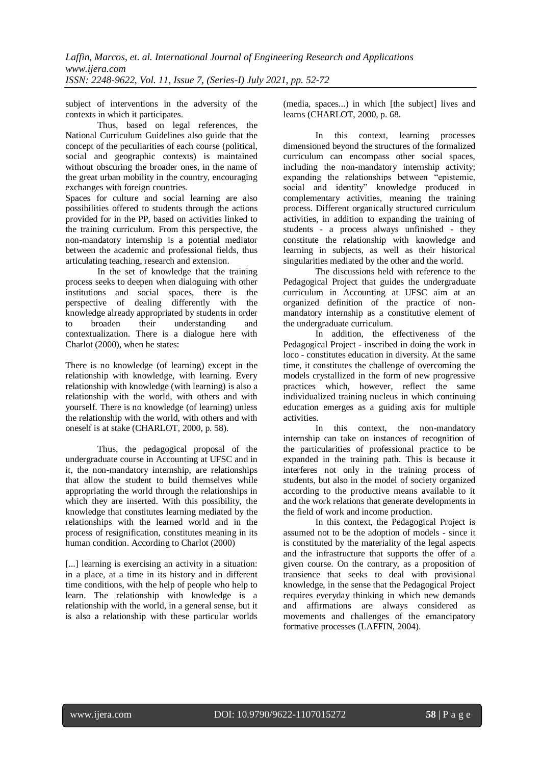subject of interventions in the adversity of the contexts in which it participates.

Thus, based on legal references, the National Curriculum Guidelines also guide that the concept of the peculiarities of each course (political, social and geographic contexts) is maintained without obscuring the broader ones, in the name of the great urban mobility in the country, encouraging exchanges with foreign countries.

Spaces for culture and social learning are also possibilities offered to students through the actions provided for in the PP, based on activities linked to the training curriculum. From this perspective, the non-mandatory internship is a potential mediator between the academic and professional fields, thus articulating teaching, research and extension.

In the set of knowledge that the training process seeks to deepen when dialoguing with other institutions and social spaces, there is the perspective of dealing differently with the knowledge already appropriated by students in order to broaden their understanding and contextualization. There is a dialogue here with Charlot (2000), when he states:

There is no knowledge (of learning) except in the relationship with knowledge, with learning. Every relationship with knowledge (with learning) is also a relationship with the world, with others and with yourself. There is no knowledge (of learning) unless the relationship with the world, with others and with oneself is at stake (CHARLOT, 2000, p. 58).

Thus, the pedagogical proposal of the undergraduate course in Accounting at UFSC and in it, the non-mandatory internship, are relationships that allow the student to build themselves while appropriating the world through the relationships in which they are inserted. With this possibility, the knowledge that constitutes learning mediated by the relationships with the learned world and in the process of resignification, constitutes meaning in its human condition. According to Charlot (2000)

[...] learning is exercising an activity in a situation: in a place, at a time in its history and in different time conditions, with the help of people who help to learn. The relationship with knowledge is a relationship with the world, in a general sense, but it is also a relationship with these particular worlds (media, spaces...) in which [the subject] lives and learns (CHARLOT, 2000, p. 68.

In this context, learning processes dimensioned beyond the structures of the formalized curriculum can encompass other social spaces, including the non-mandatory internship activity; expanding the relationships between "epistemic, social and identity" knowledge produced in complementary activities, meaning the training process. Different organically structured curriculum activities, in addition to expanding the training of students - a process always unfinished - they constitute the relationship with knowledge and learning in subjects, as well as their historical singularities mediated by the other and the world.

The discussions held with reference to the Pedagogical Project that guides the undergraduate curriculum in Accounting at UFSC aim at an organized definition of the practice of nonmandatory internship as a constitutive element of the undergraduate curriculum.

In addition, the effectiveness of the Pedagogical Project - inscribed in doing the work in loco - constitutes education in diversity. At the same time, it constitutes the challenge of overcoming the models crystallized in the form of new progressive practices which, however, reflect the same individualized training nucleus in which continuing education emerges as a guiding axis for multiple activities.

In this context, the non-mandatory internship can take on instances of recognition of the particularities of professional practice to be expanded in the training path. This is because it interferes not only in the training process of students, but also in the model of society organized according to the productive means available to it and the work relations that generate developments in the field of work and income production.

In this context, the Pedagogical Project is assumed not to be the adoption of models - since it is constituted by the materiality of the legal aspects and the infrastructure that supports the offer of a given course. On the contrary, as a proposition of transience that seeks to deal with provisional knowledge, in the sense that the Pedagogical Project requires everyday thinking in which new demands and affirmations are always considered as movements and challenges of the emancipatory formative processes (LAFFIN, 2004).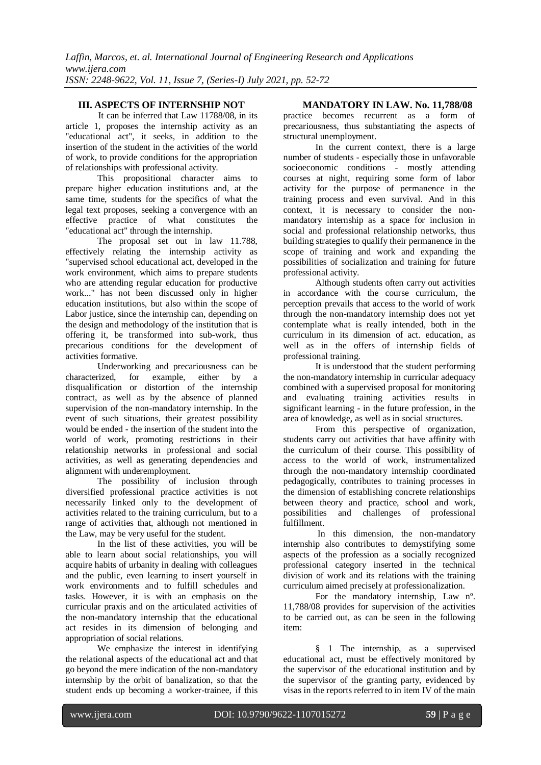It can be inferred that Law 11788/08, in its article 1, proposes the internship activity as an "educational act", it seeks, in addition to the insertion of the student in the activities of the world of work, to provide conditions for the appropriation of relationships with professional activity.

This propositional character aims to prepare higher education institutions and, at the same time, students for the specifics of what the legal text proposes, seeking a convergence with an effective practice of what constitutes the "educational act" through the internship.

The proposal set out in law 11.788, effectively relating the internship activity as "supervised school educational act, developed in the work environment, which aims to prepare students who are attending regular education for productive work..." has not been discussed only in higher education institutions, but also within the scope of Labor justice, since the internship can, depending on the design and methodology of the institution that is offering it, be transformed into sub-work, thus precarious conditions for the development of activities formative.

Underworking and precariousness can be characterized, for example, either by a disqualification or distortion of the internship contract, as well as by the absence of planned supervision of the non-mandatory internship. In the event of such situations, their greatest possibility would be ended - the insertion of the student into the world of work, promoting restrictions in their relationship networks in professional and social activities, as well as generating dependencies and alignment with underemployment.

The possibility of inclusion through diversified professional practice activities is not necessarily linked only to the development of activities related to the training curriculum, but to a range of activities that, although not mentioned in the Law, may be very useful for the student.

In the list of these activities, you will be able to learn about social relationships, you will acquire habits of urbanity in dealing with colleagues and the public, even learning to insert yourself in work environments and to fulfill schedules and tasks. However, it is with an emphasis on the curricular praxis and on the articulated activities of the non-mandatory internship that the educational act resides in its dimension of belonging and appropriation of social relations.

We emphasize the interest in identifying the relational aspects of the educational act and that go beyond the mere indication of the non-mandatory internship by the orbit of banalization, so that the student ends up becoming a worker-trainee, if this

#### **III. ASPECTS OF INTERNSHIP NOT MANDATORY IN LAW. No. 11,788/08**

practice becomes recurrent as a form of precariousness, thus substantiating the aspects of structural unemployment.

In the current context, there is a large number of students - especially those in unfavorable socioeconomic conditions - mostly attending courses at night, requiring some form of labor activity for the purpose of permanence in the training process and even survival. And in this context, it is necessary to consider the nonmandatory internship as a space for inclusion in social and professional relationship networks, thus building strategies to qualify their permanence in the scope of training and work and expanding the possibilities of socialization and training for future professional activity.

Although students often carry out activities in accordance with the course curriculum, the perception prevails that access to the world of work through the non-mandatory internship does not yet contemplate what is really intended, both in the curriculum in its dimension of act. education, as well as in the offers of internship fields of professional training.

It is understood that the student performing the non-mandatory internship in curricular adequacy combined with a supervised proposal for monitoring and evaluating training activities results in significant learning - in the future profession, in the area of knowledge, as well as in social structures.

From this perspective of organization, students carry out activities that have affinity with the curriculum of their course. This possibility of access to the world of work, instrumentalized through the non-mandatory internship coordinated pedagogically, contributes to training processes in the dimension of establishing concrete relationships between theory and practice, school and work, possibilities and challenges of professional fulfillment.

In this dimension, the non-mandatory internship also contributes to demystifying some aspects of the profession as a socially recognized professional category inserted in the technical division of work and its relations with the training curriculum aimed precisely at professionalization.

For the mandatory internship, Law nº. 11,788/08 provides for supervision of the activities to be carried out, as can be seen in the following item:

§ 1 The internship, as a supervised educational act, must be effectively monitored by the supervisor of the educational institution and by the supervisor of the granting party, evidenced by visas in the reports referred to in item IV of the main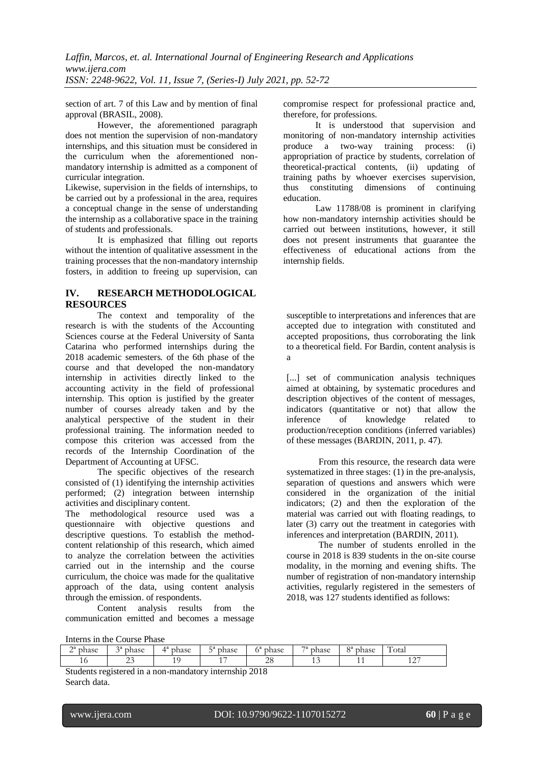section of art. 7 of this Law and by mention of final approval (BRASIL, 2008).

However, the aforementioned paragraph does not mention the supervision of non-mandatory internships, and this situation must be considered in the curriculum when the aforementioned nonmandatory internship is admitted as a component of curricular integration.

Likewise, supervision in the fields of internships, to be carried out by a professional in the area, requires a conceptual change in the sense of understanding the internship as a collaborative space in the training of students and professionals.

It is emphasized that filling out reports without the intention of qualitative assessment in the training processes that the non-mandatory internship fosters, in addition to freeing up supervision, can

# **IV. RESEARCH METHODOLOGICAL RESOURCES**

The context and temporality of the research is with the students of the Accounting Sciences course at the Federal University of Santa Catarina who performed internships during the 2018 academic semesters. of the 6th phase of the course and that developed the non-mandatory internship in activities directly linked to the accounting activity in the field of professional internship. This option is justified by the greater number of courses already taken and by the analytical perspective of the student in their professional training. The information needed to compose this criterion was accessed from the records of the Internship Coordination of the Department of Accounting at UFSC.

The specific objectives of the research consisted of  $(1)$  identifying the internship activities performed; (2) integration between internship activities and disciplinary content.

The methodological resource used was a questionnaire with objective questions and descriptive questions. To establish the methodcontent relationship of this research, which aimed to analyze the correlation between the activities carried out in the internship and the course curriculum, the choice was made for the qualitative approach of the data, using content analysis through the emission. of respondents.

Content analysis results from the communication emitted and becomes a message compromise respect for professional practice and, therefore, for professions.

It is understood that supervision and monitoring of non-mandatory internship activities produce a two-way training process: (i) appropriation of practice by students, correlation of theoretical-practical contents, (ii) updating of training paths by whoever exercises supervision, thus constituting dimensions of continuing education.

Law 11788/08 is prominent in clarifying how non-mandatory internship activities should be carried out between institutions, however, it still does not present instruments that guarantee the effectiveness of educational actions from the internship fields.

susceptible to interpretations and inferences that are accepted due to integration with constituted and accepted propositions, thus corroborating the link to a theoretical field. For Bardin, content analysis is a

[...] set of communication analysis techniques aimed at obtaining, by systematic procedures and description objectives of the content of messages, indicators (quantitative or not) that allow the inference of knowledge related to production/reception conditions (inferred variables) of these messages (BARDIN, 2011, p. 47).

From this resource, the research data were systematized in three stages: (1) in the pre-analysis, separation of questions and answers which were considered in the organization of the initial indicators; (2) and then the exploration of the material was carried out with floating readings, to later (3) carry out the treatment in categories with inferences and interpretation (BARDIN, 2011).

The number of students enrolled in the course in 2018 is 839 students in the on-site course modality, in the morning and evening shifts. The number of registration of non-mandatory internship activities, regularly registered in the semesters of 2018, was 127 students identified as follows:

Interns in the Course Phase

| $\bigcap a$<br>phase<br>- | 2a<br>phase | $\boldsymbol{A}$ a<br>phase | $\sqsubset a$<br>phase<br>◡ | ۰,<br>phase      | $\neg$ a<br>phase | $\Omega$<br>phase | $\overline{ }$<br>1 otal |
|---------------------------|-------------|-----------------------------|-----------------------------|------------------|-------------------|-------------------|--------------------------|
| ΙU                        | رے          | 10 <sup>o</sup>             |                             | $\sim$<br>$\sim$ | . .               | . .               | $\sim$<br>$\sim$<br>--   |

Students registered in a non-mandatory internship 2018 Search data.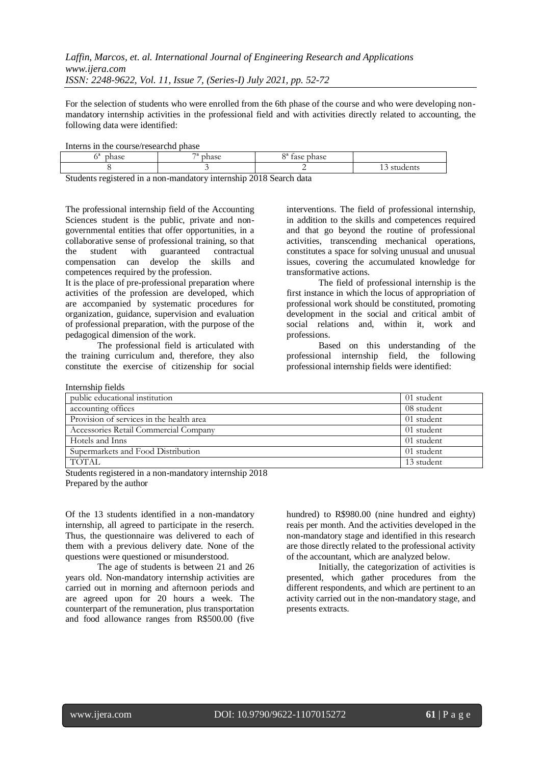For the selection of students who were enrolled from the 6th phase of the course and who were developing nonmandatory internship activities in the professional field and with activities directly related to accounting, the following data were identified:

Interns in the course/researchd phase

| - -<br>a<br>000<br>۱n٤<br>чам. | $\rightarrow$<br>$n_{\rm{max}}$ | $\Omega$<br>-<br>000<br>o co<br>$-4$ |                                |
|--------------------------------|---------------------------------|--------------------------------------|--------------------------------|
|                                |                                 | -<br>the control of the con-         | $\sim$<br>$\sim$<br>stuuttiits |

Students registered in a non-mandatory internship 2018 Search data

The professional internship field of the Accounting Sciences student is the public, private and nongovernmental entities that offer opportunities, in a collaborative sense of professional training, so that the student with guaranteed contractual compensation can develop the skills and competences required by the profession.

It is the place of pre-professional preparation where activities of the profession are developed, which are accompanied by systematic procedures for organization, guidance, supervision and evaluation of professional preparation, with the purpose of the pedagogical dimension of the work.

The professional field is articulated with the training curriculum and, therefore, they also constitute the exercise of citizenship for social

Internship fields

interventions. The field of professional internship, in addition to the skills and competences required and that go beyond the routine of professional activities, transcending mechanical operations, constitutes a space for solving unusual and unusual issues, covering the accumulated knowledge for transformative actions.

The field of professional internship is the first instance in which the locus of appropriation of professional work should be constituted, promoting development in the social and critical ambit of social relations and, within it, work and professions.

Based on this understanding of the professional internship field, the following professional internship fields were identified:

| public educational institution           | 01 student |
|------------------------------------------|------------|
| accounting offices                       | 08 student |
| Provision of services in the health area | 01 student |
| Accessories Retail Commercial Company    | 01 student |
| Hotels and Inns                          | 01 student |
| Supermarkets and Food Distribution       | 01 student |
| <b>TOTAL</b>                             | 13 student |
|                                          |            |

Students registered in a non-mandatory internship 2018 Prepared by the author

Of the 13 students identified in a non-mandatory internship, all agreed to participate in the reserch. Thus, the questionnaire was delivered to each of them with a previous delivery date. None of the questions were questioned or misunderstood.

The age of students is between 21 and 26 years old. Non-mandatory internship activities are carried out in morning and afternoon periods and are agreed upon for 20 hours a week. The counterpart of the remuneration, plus transportation and food allowance ranges from R\$500.00 (five hundred) to R\$980.00 (nine hundred and eighty) reais per month. And the activities developed in the non-mandatory stage and identified in this research are those directly related to the professional activity of the accountant, which are analyzed below.

Initially, the categorization of activities is presented, which gather procedures from the different respondents, and which are pertinent to an activity carried out in the non-mandatory stage, and presents extracts.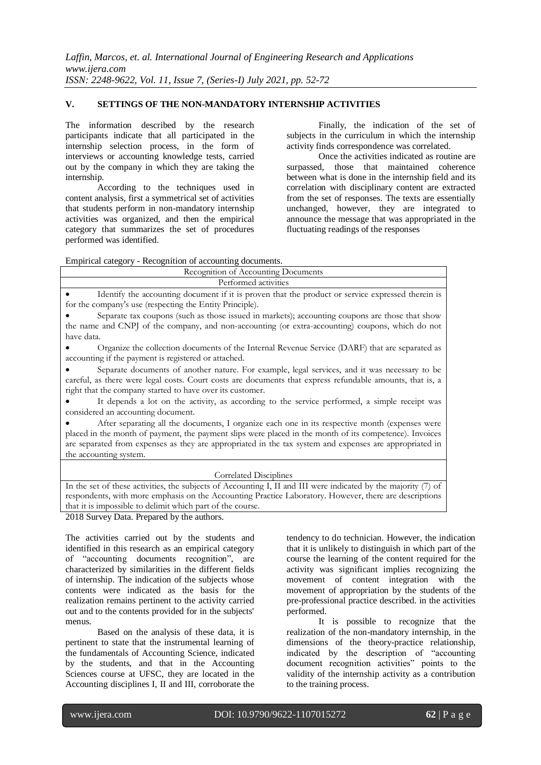#### **V. SETTINGS OF THE NON-MANDATORY INTERNSHIP ACTIVITIES**

The information described by the research participants indicate that all participated in the internship selection process, in the form of interviews or accounting knowledge tests, carried out by the company in which they are taking the internship.

According to the techniques used in content analysis, first a symmetrical set of activities that students perform in non-mandatory internship activities was organized, and then the empirical category that summarizes the set of procedures performed was identified.

Finally, the indication of the set of subjects in the curriculum in which the internship activity finds correspondence was correlated.

Once the activities indicated as routine are surpassed, those that maintained coherence between what is done in the internship field and its correlation with disciplinary content are extracted from the set of responses. The texts are essentially unchanged, however, they are integrated to announce the message that was appropriated in the fluctuating readings of the responses

Empirical category - Recognition of accounting documents.

| Recognition of Accounting Documents                                                                                                                                                                                                                                                                                                            |  |  |  |  |
|------------------------------------------------------------------------------------------------------------------------------------------------------------------------------------------------------------------------------------------------------------------------------------------------------------------------------------------------|--|--|--|--|
| Performed activities                                                                                                                                                                                                                                                                                                                           |  |  |  |  |
| Identify the accounting document if it is proven that the product or service expressed therein is<br>for the company's use (respecting the Entity Principle).                                                                                                                                                                                  |  |  |  |  |
| Separate tax coupons (such as those issued in markets); accounting coupons are those that show<br>the name and CNPJ of the company, and non-accounting (or extra-accounting) coupons, which do not<br>have data.                                                                                                                               |  |  |  |  |
| Organize the collection documents of the Internal Revenue Service (DARF) that are separated as<br>accounting if the payment is registered or attached.                                                                                                                                                                                         |  |  |  |  |
| Separate documents of another nature. For example, legal services, and it was necessary to be<br>careful, as there were legal costs. Court costs are documents that express refundable amounts, that is, a<br>right that the company started to have over its customer.                                                                        |  |  |  |  |
| It depends a lot on the activity, as according to the service performed, a simple receipt was<br>considered an accounting document.                                                                                                                                                                                                            |  |  |  |  |
| After separating all the documents, I organize each one in its respective month (expenses were<br>placed in the month of payment, the payment slips were placed in the month of its competence). Invoices<br>are separated from expenses as they are appropriated in the tax system and expenses are appropriated in<br>the accounting system. |  |  |  |  |

#### Correlated Disciplines

In the set of these activities, the subjects of Accounting I, II and III were indicated by the majority (7) of respondents, with more emphasis on the Accounting Practice Laboratory. However, there are descriptions that it is impossible to delimit which part of the course.

2018 Survey Data. Prepared by the authors.

The activities carried out by the students and identified in this research as an empirical category of "accounting documents recognition", are characterized by similarities in the different fields of internship. The indication of the subjects whose contents were indicated as the basis for the realization remains pertinent to the activity carried out and to the contents provided for in the subjects' menus.

Based on the analysis of these data, it is pertinent to state that the instrumental learning of the fundamentals of Accounting Science, indicated by the students, and that in the Accounting Sciences course at UFSC, they are located in the Accounting disciplines I, II and III, corroborate the

tendency to do technician. However, the indication that it is unlikely to distinguish in which part of the course the learning of the content required for the activity was significant implies recognizing the movement of content integration with the movement of appropriation by the students of the pre-professional practice described. in the activities performed.

It is possible to recognize that the realization of the non-mandatory internship, in the dimensions of the theory-practice relationship, indicated by the description of "accounting document recognition activities" points to the validity of the internship activity as a contribution to the training process.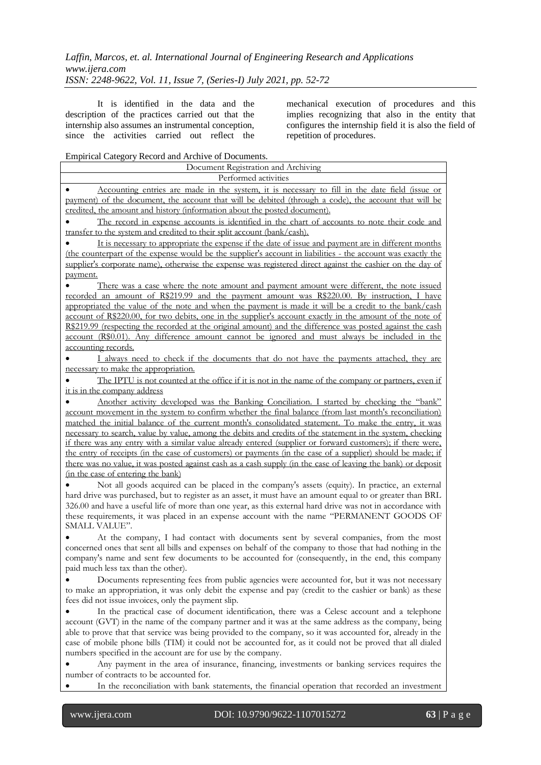It is identified in the data and the description of the practices carried out that the internship also assumes an instrumental conception, since the activities carried out reflect the mechanical execution of procedures and this implies recognizing that also in the entity that configures the internship field it is also the field of repetition of procedures.

# Empirical Category Record and Archive of Documents.

| Performed activities<br>Accounting entries are made in the system, it is necessary to fill in the date field (issue or<br>payment) of the document, the account that will be debited (through a code), the account that will be<br>credited, the amount and history (information about the posted document).                                                                                                                                                                                                                                                                                                                                                                                                                                                            |
|-------------------------------------------------------------------------------------------------------------------------------------------------------------------------------------------------------------------------------------------------------------------------------------------------------------------------------------------------------------------------------------------------------------------------------------------------------------------------------------------------------------------------------------------------------------------------------------------------------------------------------------------------------------------------------------------------------------------------------------------------------------------------|
|                                                                                                                                                                                                                                                                                                                                                                                                                                                                                                                                                                                                                                                                                                                                                                         |
|                                                                                                                                                                                                                                                                                                                                                                                                                                                                                                                                                                                                                                                                                                                                                                         |
| The record in expense accounts is identified in the chart of accounts to note their code and                                                                                                                                                                                                                                                                                                                                                                                                                                                                                                                                                                                                                                                                            |
| transfer to the system and credited to their split account (bank/cash).                                                                                                                                                                                                                                                                                                                                                                                                                                                                                                                                                                                                                                                                                                 |
| It is necessary to appropriate the expense if the date of issue and payment are in different months                                                                                                                                                                                                                                                                                                                                                                                                                                                                                                                                                                                                                                                                     |
| (the counterpart of the expense would be the supplier's account in liabilities - the account was exactly the<br>supplier's corporate name), otherwise the expense was registered direct against the cashier on the day of                                                                                                                                                                                                                                                                                                                                                                                                                                                                                                                                               |
| payment.                                                                                                                                                                                                                                                                                                                                                                                                                                                                                                                                                                                                                                                                                                                                                                |
| There was a case where the note amount and payment amount were different, the note issued<br>recorded an amount of R\$219.99 and the payment amount was R\$220.00. By instruction, I have<br>appropriated the value of the note and when the payment is made it will be a credit to the bank/cash<br>account of R\$220.00, for two debits, one in the supplier's account exactly in the amount of the note of<br>R\$219.99 (respecting the recorded at the original amount) and the difference was posted against the cash<br>account (R\$0.01). Any difference amount cannot be ignored and must always be included in the                                                                                                                                             |
| accounting records.                                                                                                                                                                                                                                                                                                                                                                                                                                                                                                                                                                                                                                                                                                                                                     |
| I always need to check if the documents that do not have the payments attached, they are                                                                                                                                                                                                                                                                                                                                                                                                                                                                                                                                                                                                                                                                                |
| necessary to make the appropriation.                                                                                                                                                                                                                                                                                                                                                                                                                                                                                                                                                                                                                                                                                                                                    |
| The IPTU is not counted at the office if it is not in the name of the company or partners, even if                                                                                                                                                                                                                                                                                                                                                                                                                                                                                                                                                                                                                                                                      |
| it is in the company address                                                                                                                                                                                                                                                                                                                                                                                                                                                                                                                                                                                                                                                                                                                                            |
| Another activity developed was the Banking Conciliation. I started by checking the "bank"<br>account movement in the system to confirm whether the final balance (from last month's reconciliation)<br>matched the initial balance of the current month's consolidated statement. To make the entry, it was<br>necessary to search, value by value, among the debits and credits of the statement in the system, checking<br>if there was any entry with a similar value already entered (supplier or forward customers); if there were,<br>the entry of receipts (in the case of customers) or payments (in the case of a supplier) should be made; if<br>there was no value, it was posted against cash as a cash supply (in the case of leaving the bank) or deposit |
| (in the case of entering the bank)<br>Not all goods acquired can be placed in the company's assets (equity). In practice, an external<br>hard drive was purchased, but to register as an asset, it must have an amount equal to or greater than BRL<br>326.00 and have a useful life of more than one year, as this external hard drive was not in accordance with<br>these requirements, it was placed in an expense account with the name "PERMANENT GOODS OF<br><b>SMALL VALUE".</b>                                                                                                                                                                                                                                                                                 |
| At the company, I had contact with documents sent by several companies, from the most<br>concerned ones that sent all bills and expenses on behalf of the company to those that had nothing in the<br>company's name and sent few documents to be accounted for (consequently, in the end, this company<br>paid much less tax than the other).                                                                                                                                                                                                                                                                                                                                                                                                                          |
| Documents representing fees from public agencies were accounted for, but it was not necessary<br>to make an appropriation, it was only debit the expense and pay (credit to the cashier or bank) as these<br>fees did not issue invoices, only the payment slip.                                                                                                                                                                                                                                                                                                                                                                                                                                                                                                        |
| In the practical case of document identification, there was a Celesc account and a telephone<br>account (GVT) in the name of the company partner and it was at the same address as the company, being<br>able to prove that that service was being provided to the company, so it was accounted for, already in the<br>case of mobile phone bills (TIM) it could not be accounted for, as it could not be proved that all dialed<br>numbers specified in the account are for use by the company.                                                                                                                                                                                                                                                                        |
| Any payment in the area of insurance, financing, investments or banking services requires the                                                                                                                                                                                                                                                                                                                                                                                                                                                                                                                                                                                                                                                                           |
| number of contracts to be accounted for.                                                                                                                                                                                                                                                                                                                                                                                                                                                                                                                                                                                                                                                                                                                                |
| In the reconciliation with bank statements, the financial operation that recorded an investment                                                                                                                                                                                                                                                                                                                                                                                                                                                                                                                                                                                                                                                                         |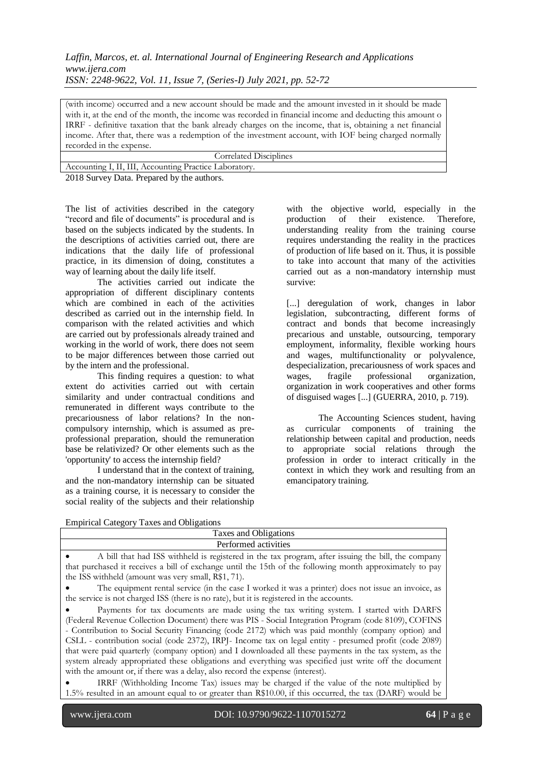(with income) occurred and a new account should be made and the amount invested in it should be made with it, at the end of the month, the income was recorded in financial income and deducting this amount o IRRF - definitive taxation that the bank already charges on the income, that is, obtaining a net financial income. After that, there was a redemption of the investment account, with IOF being charged normally recorded in the expense.

| Correlated Disciplines                                 |
|--------------------------------------------------------|
| Accounting I, II, III, Accounting Practice Laboratory. |
| 2018 Survey Data. Prepared by the authors.             |

The list of activities described in the category "record and file of documents" is procedural and is based on the subjects indicated by the students. In the descriptions of activities carried out, there are indications that the daily life of professional practice, in its dimension of doing, constitutes a way of learning about the daily life itself.

The activities carried out indicate the appropriation of different disciplinary contents which are combined in each of the activities described as carried out in the internship field. In comparison with the related activities and which are carried out by professionals already trained and working in the world of work, there does not seem to be major differences between those carried out by the intern and the professional.

This finding requires a question: to what extent do activities carried out with certain similarity and under contractual conditions and remunerated in different ways contribute to the precariousness of labor relations? In the noncompulsory internship, which is assumed as preprofessional preparation, should the remuneration base be relativized? Or other elements such as the 'opportunity' to access the internship field?

I understand that in the context of training, and the non-mandatory internship can be situated as a training course, it is necessary to consider the social reality of the subjects and their relationship

with the objective world, especially in the production of their existence. Therefore, understanding reality from the training course requires understanding the reality in the practices of production of life based on it. Thus, it is possible to take into account that many of the activities carried out as a non-mandatory internship must survive:

[...] deregulation of work, changes in labor legislation, subcontracting, different forms of contract and bonds that become increasingly precarious and unstable, outsourcing, temporary employment, informality, flexible working hours and wages, multifunctionality or polyvalence, despecialization, precariousness of work spaces and wages, fragile professional organization, organization in work cooperatives and other forms of disguised wages [...] (GUERRA, 2010, p. 719).

The Accounting Sciences student, having as curricular components of training the relationship between capital and production, needs to appropriate social relations through the profession in order to interact critically in the context in which they work and resulting from an emancipatory training.

|  |  | <b>Empirical Category Taxes and Obligations</b> |
|--|--|-------------------------------------------------|
|  |  |                                                 |

| Taxes and Obligations                                                                                                                                                                                                                                                                                                                                                                                                                                                                                                                                                                                                                                                                                                 |  |  |  |
|-----------------------------------------------------------------------------------------------------------------------------------------------------------------------------------------------------------------------------------------------------------------------------------------------------------------------------------------------------------------------------------------------------------------------------------------------------------------------------------------------------------------------------------------------------------------------------------------------------------------------------------------------------------------------------------------------------------------------|--|--|--|
| Performed activities                                                                                                                                                                                                                                                                                                                                                                                                                                                                                                                                                                                                                                                                                                  |  |  |  |
| A bill that had ISS withheld is registered in the tax program, after issuing the bill, the company                                                                                                                                                                                                                                                                                                                                                                                                                                                                                                                                                                                                                    |  |  |  |
| that purchased it receives a bill of exchange until the 15th of the following month approximately to pay<br>the ISS withheld (amount was very small, R\$1, 71).                                                                                                                                                                                                                                                                                                                                                                                                                                                                                                                                                       |  |  |  |
| The equipment rental service (in the case I worked it was a printer) does not issue an invoice, as<br>the service is not charged ISS (there is no rate), but it is registered in the accounts.                                                                                                                                                                                                                                                                                                                                                                                                                                                                                                                        |  |  |  |
| Payments for tax documents are made using the tax writing system. I started with DARFS<br>(Federal Revenue Collection Document) there was PIS - Social Integration Program (code 8109), COFINS<br>- Contribution to Social Security Financing (code 2172) which was paid monthly (company option) and<br>CSLL - contribution social (code 2372), IRPJ- Income tax on legal entity - presumed profit (code 2089)<br>that were paid quarterly (company option) and I downloaded all these payments in the tax system, as the<br>system already appropriated these obligations and everything was specified just write off the document<br>with the amount or, if there was a delay, also record the expense (interest). |  |  |  |
| IRRF (Withholding Income Tax) issues may be charged if the value of the note multiplied by<br>1.5% resulted in an amount equal to or greater than R\$10.00, if this occurred, the tax (DARF) would be                                                                                                                                                                                                                                                                                                                                                                                                                                                                                                                 |  |  |  |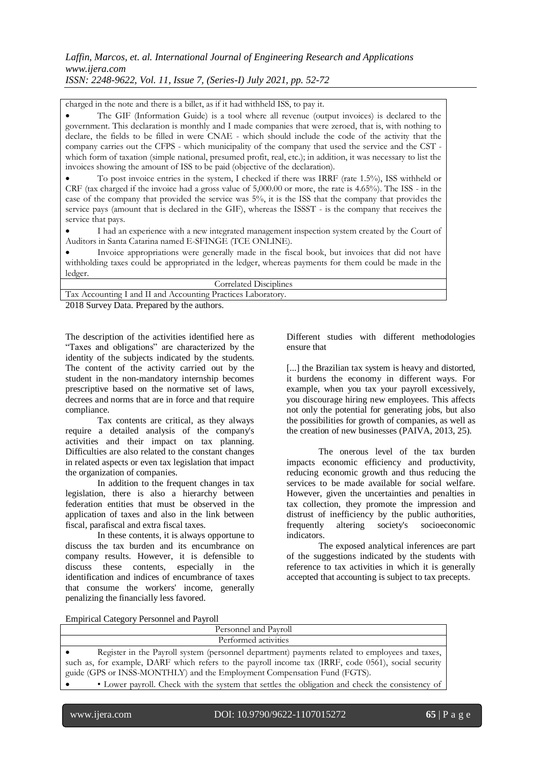charged in the note and there is a billet, as if it had withheld ISS, to pay it.

 The GIF (Information Guide) is a tool where all revenue (output invoices) is declared to the government. This declaration is monthly and I made companies that were zeroed, that is, with nothing to declare, the fields to be filled in were CNAE - which should include the code of the activity that the company carries out the CFPS - which municipality of the company that used the service and the CST which form of taxation (simple national, presumed profit, real, etc.); in addition, it was necessary to list the invoices showing the amount of ISS to be paid (objective of the declaration).

 To post invoice entries in the system, I checked if there was IRRF (rate 1.5%), ISS withheld or CRF (tax charged if the invoice had a gross value of 5,000.00 or more, the rate is 4.65%). The ISS - in the case of the company that provided the service was 5%, it is the ISS that the company that provides the service pays (amount that is declared in the GIF), whereas the ISSST - is the company that receives the service that pays.

 I had an experience with a new integrated management inspection system created by the Court of Auditors in Santa Catarina named E-SFINGE (TCE ONLINE).

 Invoice appropriations were generally made in the fiscal book, but invoices that did not have withholding taxes could be appropriated in the ledger, whereas payments for them could be made in the ledger.

| Correlated Disciplines                                       |
|--------------------------------------------------------------|
| Tax Accounting I and II and Accounting Practices Laboratory. |
| 2018 Survey Deta Drepared by the outborn                     |

2018 Survey Data. Prepared by the authors.

The description of the activities identified here as "Taxes and obligations" are characterized by the identity of the subjects indicated by the students. The content of the activity carried out by the student in the non-mandatory internship becomes prescriptive based on the normative set of laws, decrees and norms that are in force and that require compliance.

Tax contents are critical, as they always require a detailed analysis of the company's activities and their impact on tax planning. Difficulties are also related to the constant changes in related aspects or even tax legislation that impact the organization of companies.

In addition to the frequent changes in tax legislation, there is also a hierarchy between federation entities that must be observed in the application of taxes and also in the link between fiscal, parafiscal and extra fiscal taxes.

In these contents, it is always opportune to discuss the tax burden and its encumbrance on company results. However, it is defensible to discuss these contents, especially in the identification and indices of encumbrance of taxes that consume the workers' income, generally penalizing the financially less favored.

Different studies with different methodologies ensure that

[...] the Brazilian tax system is heavy and distorted, it burdens the economy in different ways. For example, when you tax your payroll excessively, you discourage hiring new employees. This affects not only the potential for generating jobs, but also the possibilities for growth of companies, as well as the creation of new businesses (PAIVA, 2013, 25).

The onerous level of the tax burden impacts economic efficiency and productivity, reducing economic growth and thus reducing the services to be made available for social welfare. However, given the uncertainties and penalties in tax collection, they promote the impression and distrust of inefficiency by the public authorities, frequently altering society's socioeconomic indicators.

The exposed analytical inferences are part of the suggestions indicated by the students with reference to tax activities in which it is generally accepted that accounting is subject to tax precepts.

Empirical Category Personnel and Payroll

| Personnel and Payroll                                                                                |  |  |  |  |
|------------------------------------------------------------------------------------------------------|--|--|--|--|
| Performed activities                                                                                 |  |  |  |  |
| Register in the Payroll system (personnel department) payments related to employees and taxes,       |  |  |  |  |
| such as, for example, DARF which refers to the payroll income tax (IRRF, code 0561), social security |  |  |  |  |
| guide (GPS or INSS-MONTHLY) and the Employment Compensation Fund (FGTS).                             |  |  |  |  |
| • Lower payroll. Check with the system that settles the obligation and check the consistency of      |  |  |  |  |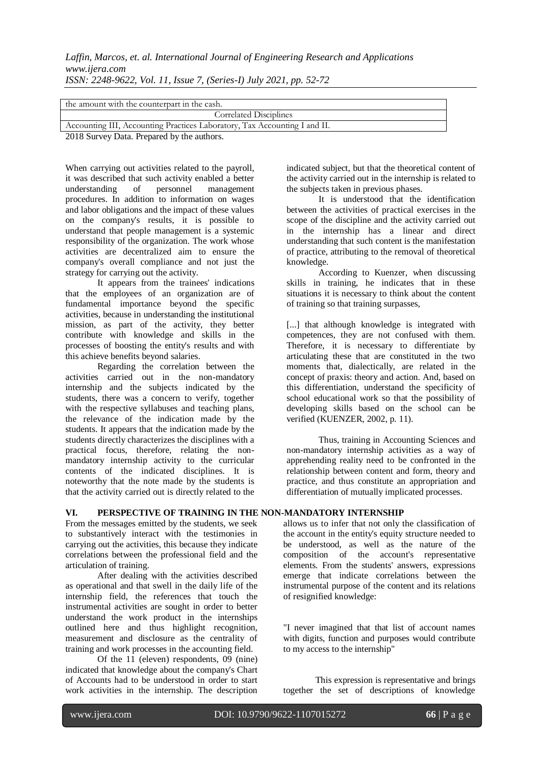| the amount with the counterpart in the cash.                              |  |  |  |
|---------------------------------------------------------------------------|--|--|--|
| Correlated Disciplines                                                    |  |  |  |
| Accounting III, Accounting Practices Laboratory, Tax Accounting I and II. |  |  |  |
| $\sim$ $\sim$ $\sim$                                                      |  |  |  |

2018 Survey Data. Prepared by the authors.

When carrying out activities related to the payroll, it was described that such activity enabled a better understanding of personnel management procedures. In addition to information on wages and labor obligations and the impact of these values on the company's results, it is possible to understand that people management is a systemic responsibility of the organization. The work whose activities are decentralized aim to ensure the company's overall compliance and not just the strategy for carrying out the activity.

It appears from the trainees' indications that the employees of an organization are of fundamental importance beyond the specific activities, because in understanding the institutional mission, as part of the activity, they better contribute with knowledge and skills in the processes of boosting the entity's results and with this achieve benefits beyond salaries.

Regarding the correlation between the activities carried out in the non-mandatory internship and the subjects indicated by the students, there was a concern to verify, together with the respective syllabuses and teaching plans, the relevance of the indication made by the students. It appears that the indication made by the students directly characterizes the disciplines with a practical focus, therefore, relating the nonmandatory internship activity to the curricular contents of the indicated disciplines. It is noteworthy that the note made by the students is that the activity carried out is directly related to the

# **VI. PERSPECTIVE OF TRAINING IN THE NON-MANDATORY INTERNSHIP**

From the messages emitted by the students, we seek to substantively interact with the testimonies in carrying out the activities, this because they indicate correlations between the professional field and the articulation of training.

After dealing with the activities described as operational and that swell in the daily life of the internship field, the references that touch the instrumental activities are sought in order to better understand the work product in the internships outlined here and thus highlight recognition, measurement and disclosure as the centrality of training and work processes in the accounting field.

Of the 11 (eleven) respondents, 09 (nine) indicated that knowledge about the company's Chart of Accounts had to be understood in order to start work activities in the internship. The description indicated subject, but that the theoretical content of the activity carried out in the internship is related to the subjects taken in previous phases.

It is understood that the identification between the activities of practical exercises in the scope of the discipline and the activity carried out in the internship has a linear and direct understanding that such content is the manifestation of practice, attributing to the removal of theoretical knowledge.

According to Kuenzer, when discussing skills in training, he indicates that in these situations it is necessary to think about the content of training so that training surpasses,

[...] that although knowledge is integrated with competences, they are not confused with them. Therefore, it is necessary to differentiate by articulating these that are constituted in the two moments that, dialectically, are related in the concept of praxis: theory and action. And, based on this differentiation, understand the specificity of school educational work so that the possibility of developing skills based on the school can be verified (KUENZER, 2002, p. 11).

Thus, training in Accounting Sciences and non-mandatory internship activities as a way of apprehending reality need to be confronted in the relationship between content and form, theory and practice, and thus constitute an appropriation and differentiation of mutually implicated processes.

allows us to infer that not only the classification of the account in the entity's equity structure needed to be understood, as well as the nature of the composition of the account's representative elements. From the students' answers, expressions emerge that indicate correlations between the instrumental purpose of the content and its relations of resignified knowledge:

"I never imagined that that list of account names with digits, function and purposes would contribute to my access to the internship"

This expression is representative and brings together the set of descriptions of knowledge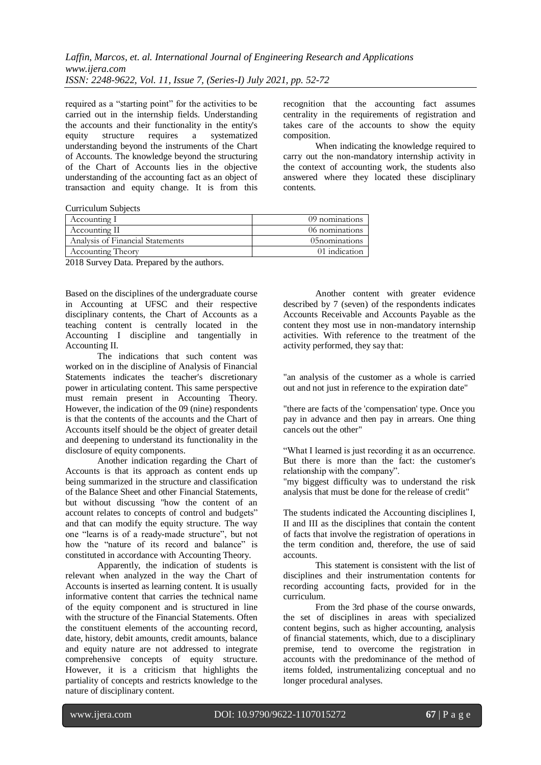required as a "starting point" for the activities to be carried out in the internship fields. Understanding the accounts and their functionality in the entity's equity structure requires a systematized understanding beyond the instruments of the Chart of Accounts. The knowledge beyond the structuring of the Chart of Accounts lies in the objective understanding of the accounting fact as an object of transaction and equity change. It is from this

recognition that the accounting fact assumes centrality in the requirements of registration and takes care of the accounts to show the equity composition.

When indicating the knowledge required to carry out the non-mandatory internship activity in the context of accounting work, the students also answered where they located these disciplinary contents.

Curriculum Subjects

| Accounting I                     | 09 nominations |
|----------------------------------|----------------|
| Accounting II                    | 06 nominations |
| Analysis of Financial Statements | 05nominations  |
| <b>Accounting Theory</b>         | 01 indication  |
|                                  |                |

2018 Survey Data. Prepared by the authors.

Based on the disciplines of the undergraduate course in Accounting at UFSC and their respective disciplinary contents, the Chart of Accounts as a teaching content is centrally located in the Accounting I discipline and tangentially in Accounting II.

The indications that such content was worked on in the discipline of Analysis of Financial Statements indicates the teacher's discretionary power in articulating content. This same perspective must remain present in Accounting Theory. However, the indication of the 09 (nine) respondents is that the contents of the accounts and the Chart of Accounts itself should be the object of greater detail and deepening to understand its functionality in the disclosure of equity components.

Another indication regarding the Chart of Accounts is that its approach as content ends up being summarized in the structure and classification of the Balance Sheet and other Financial Statements, but without discussing "how the content of an account relates to concepts of control and budgets" and that can modify the equity structure. The way one "learns is of a ready-made structure", but not how the "nature of its record and balance" is constituted in accordance with Accounting Theory.

Apparently, the indication of students is relevant when analyzed in the way the Chart of Accounts is inserted as learning content. It is usually informative content that carries the technical name of the equity component and is structured in line with the structure of the Financial Statements. Often the constituent elements of the accounting record, date, history, debit amounts, credit amounts, balance and equity nature are not addressed to integrate comprehensive concepts of equity structure. However, it is a criticism that highlights the partiality of concepts and restricts knowledge to the nature of disciplinary content.

Another content with greater evidence described by 7 (seven) of the respondents indicates Accounts Receivable and Accounts Payable as the content they most use in non-mandatory internship activities. With reference to the treatment of the activity performed, they say that:

"an analysis of the customer as a whole is carried out and not just in reference to the expiration date"

"there are facts of the 'compensation' type. Once you pay in advance and then pay in arrears. One thing cancels out the other"

"What I learned is just recording it as an occurrence. But there is more than the fact: the customer's relationship with the company".

"my biggest difficulty was to understand the risk analysis that must be done for the release of credit"

The students indicated the Accounting disciplines I, II and III as the disciplines that contain the content of facts that involve the registration of operations in the term condition and, therefore, the use of said accounts.

This statement is consistent with the list of disciplines and their instrumentation contents for recording accounting facts, provided for in the curriculum.

From the 3rd phase of the course onwards, the set of disciplines in areas with specialized content begins, such as higher accounting, analysis of financial statements, which, due to a disciplinary premise, tend to overcome the registration in accounts with the predominance of the method of items folded, instrumentalizing conceptual and no longer procedural analyses.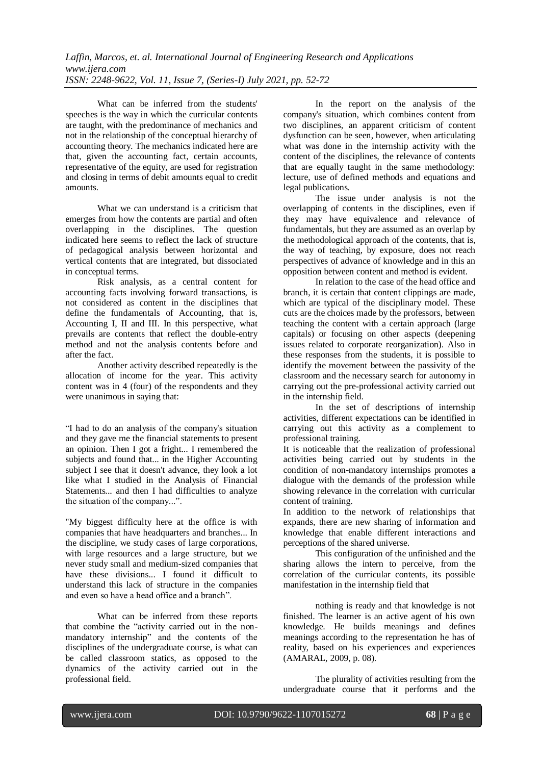What can be inferred from the students' speeches is the way in which the curricular contents are taught, with the predominance of mechanics and not in the relationship of the conceptual hierarchy of accounting theory. The mechanics indicated here are that, given the accounting fact, certain accounts, representative of the equity, are used for registration and closing in terms of debit amounts equal to credit amounts.

What we can understand is a criticism that emerges from how the contents are partial and often overlapping in the disciplines. The question indicated here seems to reflect the lack of structure of pedagogical analysis between horizontal and vertical contents that are integrated, but dissociated in conceptual terms.

Risk analysis, as a central content for accounting facts involving forward transactions, is not considered as content in the disciplines that define the fundamentals of Accounting, that is, Accounting I, II and III. In this perspective, what prevails are contents that reflect the double-entry method and not the analysis contents before and after the fact.

Another activity described repeatedly is the allocation of income for the year. This activity content was in 4 (four) of the respondents and they were unanimous in saying that:

"I had to do an analysis of the company's situation and they gave me the financial statements to present an opinion. Then I got a fright... I remembered the subjects and found that... in the Higher Accounting subject I see that it doesn't advance, they look a lot like what I studied in the Analysis of Financial Statements... and then I had difficulties to analyze the situation of the company...".

"My biggest difficulty here at the office is with companies that have headquarters and branches... In the discipline, we study cases of large corporations, with large resources and a large structure, but we never study small and medium-sized companies that have these divisions... I found it difficult to understand this lack of structure in the companies and even so have a head office and a branch".

What can be inferred from these reports that combine the "activity carried out in the nonmandatory internship" and the contents of the disciplines of the undergraduate course, is what can be called classroom statics, as opposed to the dynamics of the activity carried out in the professional field.

In the report on the analysis of the company's situation, which combines content from two disciplines, an apparent criticism of content dysfunction can be seen, however, when articulating what was done in the internship activity with the content of the disciplines, the relevance of contents that are equally taught in the same methodology: lecture, use of defined methods and equations and legal publications.

The issue under analysis is not the overlapping of contents in the disciplines, even if they may have equivalence and relevance of fundamentals, but they are assumed as an overlap by the methodological approach of the contents, that is, the way of teaching, by exposure, does not reach perspectives of advance of knowledge and in this an opposition between content and method is evident.

In relation to the case of the head office and branch, it is certain that content clippings are made, which are typical of the disciplinary model. These cuts are the choices made by the professors, between teaching the content with a certain approach (large capitals) or focusing on other aspects (deepening issues related to corporate reorganization). Also in these responses from the students, it is possible to identify the movement between the passivity of the classroom and the necessary search for autonomy in carrying out the pre-professional activity carried out in the internship field.

In the set of descriptions of internship activities, different expectations can be identified in carrying out this activity as a complement to professional training.

It is noticeable that the realization of professional activities being carried out by students in the condition of non-mandatory internships promotes a dialogue with the demands of the profession while showing relevance in the correlation with curricular content of training.

In addition to the network of relationships that expands, there are new sharing of information and knowledge that enable different interactions and perceptions of the shared universe.

This configuration of the unfinished and the sharing allows the intern to perceive, from the correlation of the curricular contents, its possible manifestation in the internship field that

nothing is ready and that knowledge is not finished. The learner is an active agent of his own knowledge. He builds meanings and defines meanings according to the representation he has of reality, based on his experiences and experiences (AMARAL, 2009, p. 08).

The plurality of activities resulting from the undergraduate course that it performs and the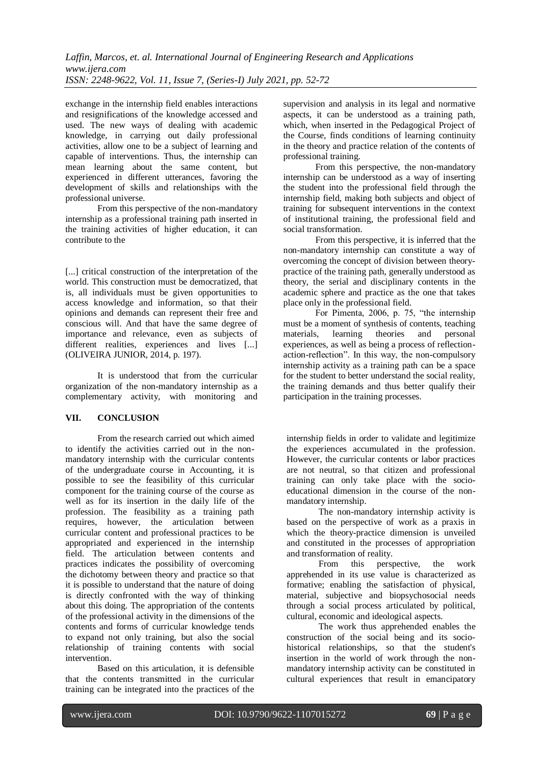exchange in the internship field enables interactions and resignifications of the knowledge accessed and used. The new ways of dealing with academic knowledge, in carrying out daily professional activities, allow one to be a subject of learning and capable of interventions. Thus, the internship can mean learning about the same content, but experienced in different utterances, favoring the development of skills and relationships with the professional universe.

From this perspective of the non-mandatory internship as a professional training path inserted in the training activities of higher education, it can contribute to the

[...] critical construction of the interpretation of the world. This construction must be democratized, that is, all individuals must be given opportunities to access knowledge and information, so that their opinions and demands can represent their free and conscious will. And that have the same degree of importance and relevance, even as subjects of different realities, experiences and lives [...] (OLIVEIRA JUNIOR, 2014, p. 197).

It is understood that from the curricular organization of the non-mandatory internship as a complementary activity, with monitoring and

# **VII. CONCLUSION**

From the research carried out which aimed to identify the activities carried out in the nonmandatory internship with the curricular contents of the undergraduate course in Accounting, it is possible to see the feasibility of this curricular component for the training course of the course as well as for its insertion in the daily life of the profession. The feasibility as a training path requires, however, the articulation between curricular content and professional practices to be appropriated and experienced in the internship field. The articulation between contents and practices indicates the possibility of overcoming the dichotomy between theory and practice so that it is possible to understand that the nature of doing is directly confronted with the way of thinking about this doing. The appropriation of the contents of the professional activity in the dimensions of the contents and forms of curricular knowledge tends to expand not only training, but also the social relationship of training contents with social intervention.

Based on this articulation, it is defensible that the contents transmitted in the curricular training can be integrated into the practices of the supervision and analysis in its legal and normative aspects, it can be understood as a training path, which, when inserted in the Pedagogical Project of the Course, finds conditions of learning continuity in the theory and practice relation of the contents of professional training.

From this perspective, the non-mandatory internship can be understood as a way of inserting the student into the professional field through the internship field, making both subjects and object of training for subsequent interventions in the context of institutional training, the professional field and social transformation.

From this perspective, it is inferred that the non-mandatory internship can constitute a way of overcoming the concept of division between theorypractice of the training path, generally understood as theory, the serial and disciplinary contents in the academic sphere and practice as the one that takes place only in the professional field.

For Pimenta, 2006, p. 75, "the internship must be a moment of synthesis of contents, teaching materials, learning theories and personal experiences, as well as being a process of reflectionaction-reflection". In this way, the non-compulsory internship activity as a training path can be a space for the student to better understand the social reality, the training demands and thus better qualify their participation in the training processes.

internship fields in order to validate and legitimize the experiences accumulated in the profession. However, the curricular contents or labor practices are not neutral, so that citizen and professional training can only take place with the socioeducational dimension in the course of the nonmandatory internship.

The non-mandatory internship activity is based on the perspective of work as a praxis in which the theory-practice dimension is unveiled and constituted in the processes of appropriation and transformation of reality.

From this perspective, the work apprehended in its use value is characterized as formative; enabling the satisfaction of physical, material, subjective and biopsychosocial needs through a social process articulated by political, cultural, economic and ideological aspects.

The work thus apprehended enables the construction of the social being and its sociohistorical relationships, so that the student's insertion in the world of work through the nonmandatory internship activity can be constituted in cultural experiences that result in emancipatory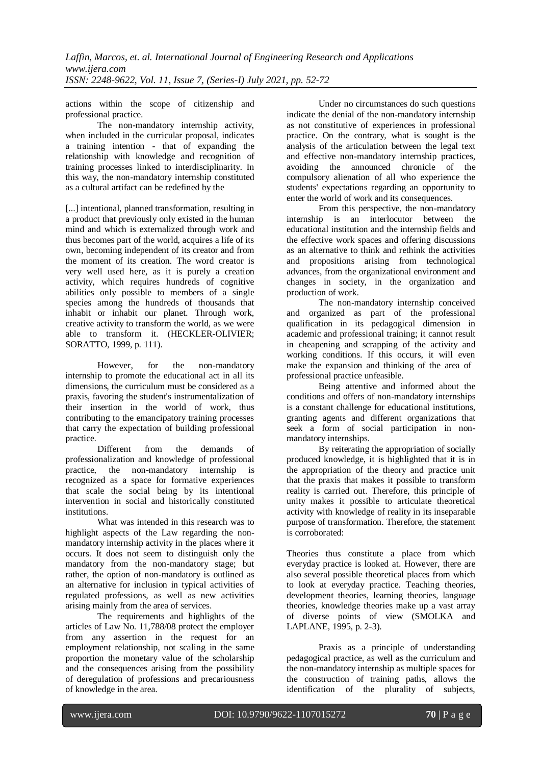actions within the scope of citizenship and professional practice.

The non-mandatory internship activity, when included in the curricular proposal, indicates a training intention - that of expanding the relationship with knowledge and recognition of training processes linked to interdisciplinarity. In this way, the non-mandatory internship constituted as a cultural artifact can be redefined by the

[...] intentional, planned transformation, resulting in a product that previously only existed in the human mind and which is externalized through work and thus becomes part of the world, acquires a life of its own, becoming independent of its creator and from the moment of its creation. The word creator is very well used here, as it is purely a creation activity, which requires hundreds of cognitive abilities only possible to members of a single species among the hundreds of thousands that inhabit or inhabit our planet. Through work, creative activity to transform the world, as we were able to transform it. (HECKLER-OLIVIER; SORATTO, 1999, p. 111).

However, for the non-mandatory internship to promote the educational act in all its dimensions, the curriculum must be considered as a praxis, favoring the student's instrumentalization of their insertion in the world of work, thus contributing to the emancipatory training processes that carry the expectation of building professional practice.

Different from the demands of professionalization and knowledge of professional practice, the non-mandatory internship is recognized as a space for formative experiences that scale the social being by its intentional intervention in social and historically constituted institutions.

What was intended in this research was to highlight aspects of the Law regarding the nonmandatory internship activity in the places where it occurs. It does not seem to distinguish only the mandatory from the non-mandatory stage; but rather, the option of non-mandatory is outlined as an alternative for inclusion in typical activities of regulated professions, as well as new activities arising mainly from the area of services.

The requirements and highlights of the articles of Law No. 11,788/08 protect the employer from any assertion in the request for an employment relationship, not scaling in the same proportion the monetary value of the scholarship and the consequences arising from the possibility of deregulation of professions and precariousness of knowledge in the area.

Under no circumstances do such questions indicate the denial of the non-mandatory internship as not constitutive of experiences in professional practice. On the contrary, what is sought is the analysis of the articulation between the legal text and effective non-mandatory internship practices, avoiding the announced chronicle of the compulsory alienation of all who experience the students' expectations regarding an opportunity to enter the world of work and its consequences.

From this perspective, the non-mandatory internship is an interlocutor between the educational institution and the internship fields and the effective work spaces and offering discussions as an alternative to think and rethink the activities and propositions arising from technological advances, from the organizational environment and changes in society, in the organization and production of work.

The non-mandatory internship conceived and organized as part of the professional qualification in its pedagogical dimension in academic and professional training; it cannot result in cheapening and scrapping of the activity and working conditions. If this occurs, it will even make the expansion and thinking of the area of professional practice unfeasible.

Being attentive and informed about the conditions and offers of non-mandatory internships is a constant challenge for educational institutions, granting agents and different organizations that seek a form of social participation in nonmandatory internships.

By reiterating the appropriation of socially produced knowledge, it is highlighted that it is in the appropriation of the theory and practice unit that the praxis that makes it possible to transform reality is carried out. Therefore, this principle of unity makes it possible to articulate theoretical activity with knowledge of reality in its inseparable purpose of transformation. Therefore, the statement is corroborated:

Theories thus constitute a place from which everyday practice is looked at. However, there are also several possible theoretical places from which to look at everyday practice. Teaching theories, development theories, learning theories, language theories, knowledge theories make up a vast array of diverse points of view (SMOLKA and LAPLANE, 1995, p. 2-3).

Praxis as a principle of understanding pedagogical practice, as well as the curriculum and the non-mandatory internship as multiple spaces for the construction of training paths, allows the identification of the plurality of subjects,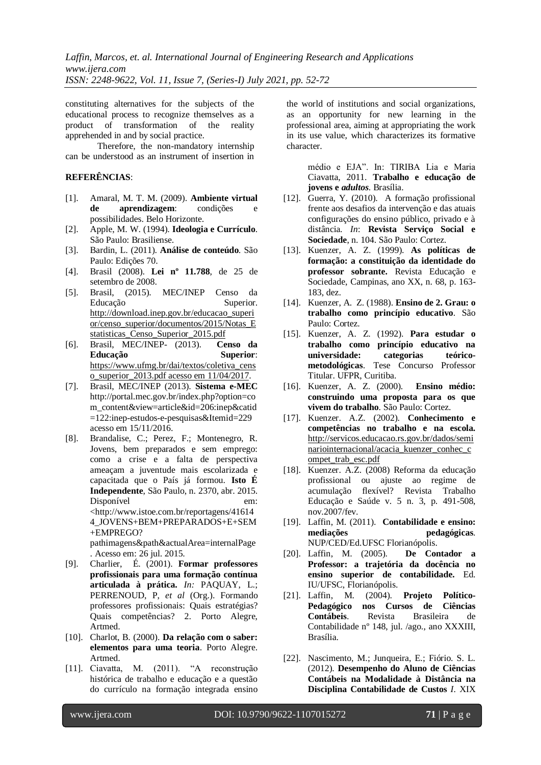constituting alternatives for the subjects of the educational process to recognize themselves as a product of transformation of the reality apprehended in and by social practice.

Therefore, the non-mandatory internship can be understood as an instrument of insertion in

#### **REFERÊNCIAS**:

- [1]. Amaral, M. T. M. (2009). **Ambiente virtual de aprendizagem**: condições e possibilidades. Belo Horizonte.
- [2]. Apple, M. W. (1994). **Ideologia e Currículo**. São Paulo: Brasiliense.
- [3]. Bardin, L. (2011). **Análise de conteúdo***.* São Paulo: Edições 70.
- [4]. Brasil (2008). **[Lei nº 11.788](http://legislacao.planalto.gov.br/legisla/legislacao.nsf/Viw_Identificacao/lei%2011.788-2008?OpenDocument)**, de 25 de [setembro de 2008.](http://legislacao.planalto.gov.br/legisla/legislacao.nsf/Viw_Identificacao/lei%2011.788-2008?OpenDocument)
- [5]. Brasil, (2015). MEC/INEP Censo da Educação Superior. [http://download.inep.gov.br/educacao\\_superi](http://download.inep.gov.br/educacao_superior/censo_superior/documentos/2015/Notas_Estatisticas_Censo_Superior_2015.pdf) [or/censo\\_superior/documentos/2015/Notas\\_E](http://download.inep.gov.br/educacao_superior/censo_superior/documentos/2015/Notas_Estatisticas_Censo_Superior_2015.pdf) [statisticas\\_Censo\\_Superior\\_2015.pdf](http://download.inep.gov.br/educacao_superior/censo_superior/documentos/2015/Notas_Estatisticas_Censo_Superior_2015.pdf)
- [6]. Brasil, MEC/INEP- (2013). **Censo da Educação Superior**: [https://www.ufmg.br/dai/textos/coletiva\\_cens](https://www.ufmg.br/dai/textos/coletiva_censo_superior_2013.pdf%20acesso%20em%2011/04/2017) [o\\_superior\\_2013.pdf acesso em 11/04/2017.](https://www.ufmg.br/dai/textos/coletiva_censo_superior_2013.pdf%20acesso%20em%2011/04/2017)
- [7]. Brasil, MEC/INEP (2013). **Sistema e-MEC** [http://portal.mec.gov.br/index.php?option=co](http://portal.mec.gov.br/index.php?option=com_content&view=article&id=206:inep&catid=122:inep-estudos-e-pesquisas&Itemid=229) [m\\_content&view=article&id=206:inep&catid](http://portal.mec.gov.br/index.php?option=com_content&view=article&id=206:inep&catid=122:inep-estudos-e-pesquisas&Itemid=229) [=122:inep-estudos-e-pesquisas&Itemid=229](http://portal.mec.gov.br/index.php?option=com_content&view=article&id=206:inep&catid=122:inep-estudos-e-pesquisas&Itemid=229) acesso em 15/11/2016.
- [8]. Brandalise, C.; Perez, F.; Montenegro, R. Jovens, bem preparados e sem emprego: como a crise e a falta de perspectiva ameaçam a juventude mais escolarizada e capacitada que o País já formou. **Isto É Independente**, São Paulo, n. 2370, abr. 2015. Disponível em: <http://www.istoe.com.br/reportagens/41614 4\_JOVENS+BEM+PREPARADOS+E+SEM +EMPREGO? pathimagens&path&actualArea=internalPage

. Acesso em: 26 jul. 2015.

- [9]. Charlier, É. (2001). **Formar professores profissionais para uma formação contínua articulada à prática.** *In:* PAQUAY, L.; PERRENOUD, P, *et al* (Org.). Formando professores profissionais: Quais estratégias? Quais competências? 2. Porto Alegre, Artmed.
- [10]. Charlot, B. (2000). **Da relação com o saber: elementos para uma teoria**. Porto Alegre. Artmed.
- [11]. Ciavatta, M. (2011). "A reconstrução histórica de trabalho e educação e a questão do currículo na formação integrada ensino

the world of institutions and social organizations, as an opportunity for new learning in the professional area, aiming at appropriating the work in its use value, which characterizes its formative character.

> médio e EJA". In: TIRIBA Lia e Maria Ciavatta, 2011. **Trabalho e educação de jovens e** *adultos*. Brasília.

- [12]. Guerra, Y. (2010). A formação profissional frente aos desafios da intervenção e das atuais configurações do ensino público, privado e à distância. *In*: **Revista Serviço Social e Sociedade**, n. 104. São Paulo: Cortez.
- [13]. Kuenzer, A. Z. (1999). **As políticas de formação: a constituição da identidade do professor sobrante.** Revista Educação e Sociedade, Campinas, ano XX, n. 68, p. 163- 183, dez.
- [14]. Kuenzer, A. Z. (1988). **Ensino de 2. Grau: o trabalho como princípio educativo**. São Paulo: Cortez.
- [15]. Kuenzer, A. Z. (1992). **Para estudar o trabalho como princípio educativo na universidade: categorias teóricometodológicas**. Tese Concurso Professor Titular. UFPR, Curitiba.
- [16]. Kuenzer, A. Z. (2000). **Ensino médio: construindo uma proposta para os que vivem do trabalho**. São Paulo: Cortez.
- [17]. Kuenzer. A.Z. (2002). **Conhecimento e competências no trabalho e na escola.**  [http://servicos.educacao.rs.gov.br/dados/semi](http://servicos.educacao.rs.gov.br/dados/seminariointernacional/acacia_kuenzer_conhec_compet_trab_esc.pdf) [nariointernacional/acacia\\_kuenzer\\_conhec\\_c](http://servicos.educacao.rs.gov.br/dados/seminariointernacional/acacia_kuenzer_conhec_compet_trab_esc.pdf) [ompet\\_trab\\_esc.pdf](http://servicos.educacao.rs.gov.br/dados/seminariointernacional/acacia_kuenzer_conhec_compet_trab_esc.pdf)
- [18]. Kuenzer. A.Z. (2008) Reforma da educação profissional ou ajuste ao regime de acumulação flexível? Revista Trabalho Educação e Saúde v. 5 n. 3, p. 491-508, nov.2007/fev.
- [19]. Laffin, M. (2011). **Contabilidade e ensino: mediações pedagógicas**. NUP/CED/Ed.UFSC Florianópolis.
- [20]. Laffin, M. (2005). **De Contador a Professor: a trajetória da docência no ensino superior de contabilidade.** Ed. IU/UFSC, Florianópolis.
- [21]. Laffin, M. (2004). **Projeto Político-Pedagógico nos Cursos de Ciências Contábeis**. Revista Brasileira de Contabilidade nº 148, jul. /ago., ano XXXIII, Brasília.
- [22]. Nascimento, M.; Junqueira, E.; Fiório. S. L. (2012). **Desempenho do Aluno de Ciências Contábeis na Modalidade à Distância na Disciplina Contabilidade de Custos** *I*. XIX